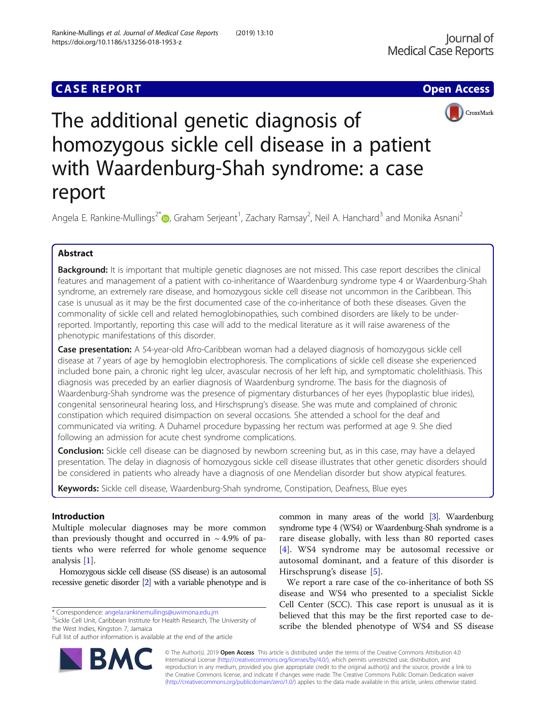## **CASE REPORT CASE REPORT CASE ACCESS**





# The additional genetic diagnosis of homozygous sickle cell disease in a patient with Waardenburg-Shah syndrome: a case report

Angela E. Rankine-Mullings<sup>2\*</sup>®[,](http://orcid.org/0000-0002-3535-0911) Graham Serjeant<sup>1</sup>, Zachary Ramsay<sup>2</sup>, Neil A. Hanchard<sup>3</sup> and Monika Asnani<sup>2</sup>

## Abstract

Background: It is important that multiple genetic diagnoses are not missed. This case report describes the clinical features and management of a patient with co-inheritance of Waardenburg syndrome type 4 or Waardenburg-Shah syndrome, an extremely rare disease, and homozygous sickle cell disease not uncommon in the Caribbean. This case is unusual as it may be the first documented case of the co-inheritance of both these diseases. Given the commonality of sickle cell and related hemoglobinopathies, such combined disorders are likely to be underreported. Importantly, reporting this case will add to the medical literature as it will raise awareness of the phenotypic manifestations of this disorder.

Case presentation: A 54-year-old Afro-Caribbean woman had a delayed diagnosis of homozygous sickle cell disease at 7 years of age by hemoglobin electrophoresis. The complications of sickle cell disease she experienced included bone pain, a chronic right leg ulcer, avascular necrosis of her left hip, and symptomatic cholelithiasis. This diagnosis was preceded by an earlier diagnosis of Waardenburg syndrome. The basis for the diagnosis of Waardenburg-Shah syndrome was the presence of pigmentary disturbances of her eyes (hypoplastic blue irides), congenital sensorineural hearing loss, and Hirschsprung's disease. She was mute and complained of chronic constipation which required disimpaction on several occasions. She attended a school for the deaf and communicated via writing. A Duhamel procedure bypassing her rectum was performed at age 9. She died following an admission for acute chest syndrome complications.

**Conclusion:** Sickle cell disease can be diagnosed by newborn screening but, as in this case, may have a delayed presentation. The delay in diagnosis of homozygous sickle cell disease illustrates that other genetic disorders should be considered in patients who already have a diagnosis of one Mendelian disorder but show atypical features.

Keywords: Sickle cell disease, Waardenburg-Shah syndrome, Constipation, Deafness, Blue eyes

## Introduction

Multiple molecular diagnoses may be more common than previously thought and occurred in  $\sim$  4.9% of patients who were referred for whole genome sequence analysis [\[1\]](#page-3-0).

Homozygous sickle cell disease (SS disease) is an autosomal recessive genetic disorder [\[2](#page-3-0)] with a variable phenotype and is

 $2$ Sickle Cell Unit, Caribbean Institute for Health Research, The University of the West Indies, Kingston 7, Jamaica



We report a rare case of the co-inheritance of both SS disease and WS4 who presented to a specialist Sickle Cell Center (SCC). This case report is unusual as it is believed that this may be the first reported case to describe the blended phenotype of WS4 and SS disease

© The Author(s). 2019 Open Access This article is distributed under the terms of the Creative Commons Attribution 4.0 International License [\(http://creativecommons.org/licenses/by/4.0/](http://creativecommons.org/licenses/by/4.0/)), which permits unrestricted use, distribution, and reproduction in any medium, provided you give appropriate credit to the original author(s) and the source, provide a link to the Creative Commons license, and indicate if changes were made. The Creative Commons Public Domain Dedication waiver [\(http://creativecommons.org/publicdomain/zero/1.0/](http://creativecommons.org/publicdomain/zero/1.0/)) applies to the data made available in this article, unless otherwise stated.



<sup>\*</sup> Correspondence: [angela.rankinemullings@uwimona.edu.jm](mailto:angela.rankinemullings@uwimona.edu.jm) <sup>2</sup>

Full list of author information is available at the end of the article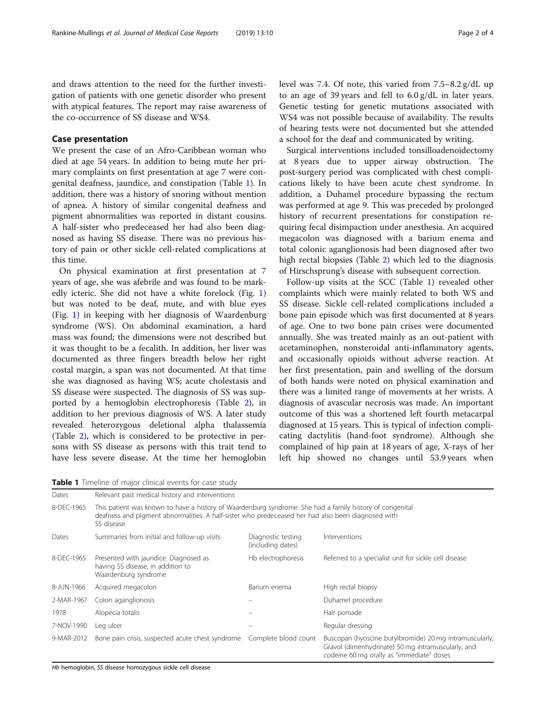and draws attention to the need for the further investigation of patients with one genetic disorder who present with atypical features. The report may raise awareness of the co-occurrence of SS disease and WS4.

### Case presentation

We present the case of an Afro-Caribbean woman who died at age 54 years. In addition to being mute her primary complaints on first presentation at age 7 were congenital deafness, jaundice, and constipation (Table 1). In addition, there was a history of snoring without mention of apnea. A history of similar congenital deafness and pigment abnormalities was reported in distant cousins. A half-sister who predeceased her had also been diagnosed as having SS disease. There was no previous history of pain or other sickle cell-related complications at this time.

On physical examination at first presentation at 7 years of age, she was afebrile and was found to be markedly icteric. She did not have a white forelock (Fig. [1](#page-2-0)) but was noted to be deaf, mute, and with blue eyes (Fig. [1\)](#page-2-0) in keeping with her diagnosis of Waardenburg syndrome (WS). On abdominal examination, a hard mass was found; the dimensions were not described but it was thought to be a fecalith. In addition, her liver was documented as three fingers breadth below her right costal margin, a span was not documented. At that time she was diagnosed as having WS; acute cholestasis and SS disease were suspected. The diagnosis of SS was supported by a hemoglobin electrophoresis (Table [2\)](#page-2-0), in addition to her previous diagnosis of WS. A later study revealed heterozygous deletional alpha thalassemia (Table [2](#page-2-0)), which is considered to be protective in persons with SS disease as persons with this trait tend to have less severe disease. At the time her hemoglobin level was 7.4. Of note, this varied from 7.5–8.2 g/dL up to an age of 39 years and fell to 6.0 g/dL in later years. Genetic testing for genetic mutations associated with WS4 was not possible because of availability. The results of hearing tests were not documented but she attended a school for the deaf and communicated by writing.

Surgical interventions included tonsilloadenoidectomy at 8 years due to upper airway obstruction. The post-surgery period was complicated with chest complications likely to have been acute chest syndrome. In addition, a Duhamel procedure bypassing the rectum was performed at age 9. This was preceded by prolonged history of recurrent presentations for constipation requiring fecal disimpaction under anesthesia. An acquired megacolon was diagnosed with a barium enema and total colonic aganglionosis had been diagnosed after two high rectal biopsies (Table [2](#page-2-0)) which led to the diagnosis of Hirschsprung's disease with subsequent correction.

Follow-up visits at the SCC (Table 1) revealed other complaints which were mainly related to both WS and SS disease. Sickle cell-related complications included a bone pain episode which was first documented at 8 years of age. One to two bone pain crises were documented annually. She was treated mainly as an out-patient with acetaminophen, nonsteroidal anti-inflammatory agents, and occasionally opioids without adverse reaction. At her first presentation, pain and swelling of the dorsum of both hands were noted on physical examination and there was a limited range of movements at her wrists. A diagnosis of avascular necrosis was made. An important outcome of this was a shortened left fourth metacarpal diagnosed at 15 years. This is typical of infection complicating dactylitis (hand-foot syndrome). Although she complained of hip pain at 18 years of age, X-rays of her left hip showed no changes until 53.9 years when

Table 1 Timeline of major clinical events for case study

| Dates      | Relevant past medical history and interventions                                                                                                                                                                              |                                         |                                                                                                                                                            |  |
|------------|------------------------------------------------------------------------------------------------------------------------------------------------------------------------------------------------------------------------------|-----------------------------------------|------------------------------------------------------------------------------------------------------------------------------------------------------------|--|
| 8-DEC-1965 | This patient was known to have a history of Waardenburg syndrome. She had a family history of congenital<br>deafness and pigment abnormalities. A half-sister who predeceased her had also been diagnosed with<br>SS disease |                                         |                                                                                                                                                            |  |
| Dates      | Summaries from initial and follow-up visits                                                                                                                                                                                  | Diagnostic testing<br>(including dates) | Interventions                                                                                                                                              |  |
| 8-DEC-1965 | Presented with jaundice. Diagnosed as<br>having SS disease, in addition to<br>Waardenburg syndrome                                                                                                                           | Hb electrophoresis                      | Referred to a specialist unit for sickle cell disease                                                                                                      |  |
| 8-JUN-1966 | Acquired megacolon                                                                                                                                                                                                           | Barium enema                            | High rectal biopsy                                                                                                                                         |  |
| 2-MAR-1967 | Colon aganglionosis                                                                                                                                                                                                          |                                         | Duhamel procedure                                                                                                                                          |  |
| 1978       | Alopecia totalis                                                                                                                                                                                                             |                                         | Hair pomade                                                                                                                                                |  |
| 7-NOV-1990 | Leg ulcer                                                                                                                                                                                                                    |                                         | Regular dressing                                                                                                                                           |  |
| 9-MAR-2012 | Bone pain crisis, suspected acute chest syndrome  Complete blood count                                                                                                                                                       |                                         | Buscopan (hyoscine butylbromide) 20 mg intramuscularly,<br>Gravol (dimenhydrinate) 50 mg intramuscularly, and<br>codeine 60 mg orally as "immediate" doses |  |

Hb hemoglobin, SS disease homozygous sickle cell disease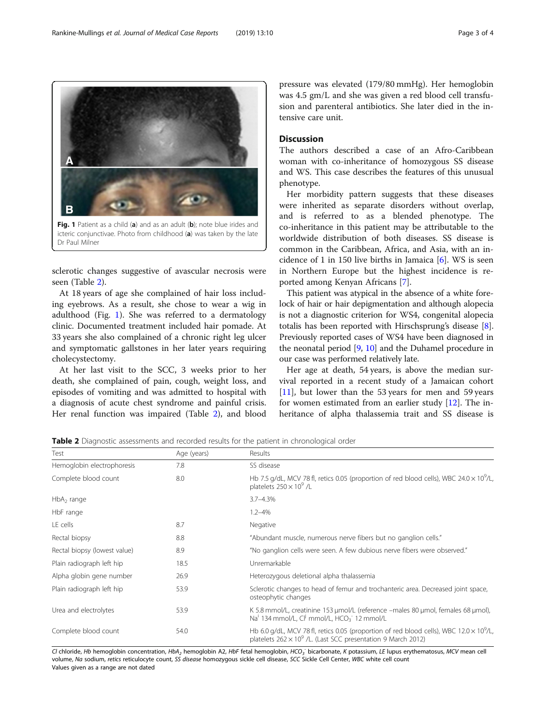sclerotic changes suggestive of avascular necrosis were seen (Table 2).

At 18 years of age she complained of hair loss including eyebrows. As a result, she chose to wear a wig in adulthood (Fig. 1). She was referred to a dermatology clinic. Documented treatment included hair pomade. At 33 years she also complained of a chronic right leg ulcer and symptomatic gallstones in her later years requiring cholecystectomy.

At her last visit to the SCC, 3 weeks prior to her death, she complained of pain, cough, weight loss, and episodes of vomiting and was admitted to hospital with a diagnosis of acute chest syndrome and painful crisis. Her renal function was impaired (Table 2), and blood

Test Results Hemoglobin electrophoresis 7.8 35 SS disease

 $HbA<sub>2</sub>$  range  $3.7-4.3\%$ HbF range 1.2–4% LE cells **Accelerate 2018** 2.7 **Negative 2.7** Negative

pressure was elevated (179/80 mmHg). Her hemoglobin was 4.5 gm/L and she was given a red blood cell transfusion and parenteral antibiotics. She later died in the intensive care unit.

## Discussion

The authors described a case of an Afro-Caribbean woman with co-inheritance of homozygous SS disease and WS. This case describes the features of this unusual phenotype.

Her morbidity pattern suggests that these diseases were inherited as separate disorders without overlap, and is referred to as a blended phenotype. The co-inheritance in this patient may be attributable to the worldwide distribution of both diseases. SS disease is common in the Caribbean, Africa, and Asia, with an incidence of 1 in 150 live births in Jamaica [[6](#page-3-0)]. WS is seen in Northern Europe but the highest incidence is reported among Kenyan Africans [[7\]](#page-3-0).

This patient was atypical in the absence of a white forelock of hair or hair depigmentation and although alopecia is not a diagnostic criterion for WS4, congenital alopecia totalis has been reported with Hirschsprung's disease [[8](#page-3-0)]. Previously reported cases of WS4 have been diagnosed in the neonatal period  $[9, 10]$  $[9, 10]$  $[9, 10]$  $[9, 10]$  and the Duhamel procedure in our case was performed relatively late.

Her age at death, 54 years, is above the median survival reported in a recent study of a Jamaican cohort [[11\]](#page-3-0), but lower than the 53 years for men and 59 years for women estimated from an earlier study [\[12\]](#page-3-0). The inheritance of alpha thalassemia trait and SS disease is

**Table 2** Diagnostic assessments and recorded results for the patient in chronological order

| Cl chloride, Hb hemoglobin concentration, HbA <sub>2</sub> hemoglobin A2, HbF fetal hemoglobin, HCO <sub>3</sub> bicarbonate, K potassium, LE lupus erythematosus, MCV mean cell |      |                                                                                                                                                                                    |  |
|----------------------------------------------------------------------------------------------------------------------------------------------------------------------------------|------|------------------------------------------------------------------------------------------------------------------------------------------------------------------------------------|--|
| Complete blood count                                                                                                                                                             | 54.0 | Hb 6.0 g/dL, MCV 78 fl, retics 0.05 (proportion of red blood cells), WBC 12.0 $\times$ 10 <sup>9</sup> /L,<br>platelets $262 \times 10^9$ /L. (Last SCC presentation 9 March 2012) |  |
| Urea and electrolytes                                                                                                                                                            | 53.9 | K 5.8 mmol/L, creatinine 153 µmol/L (reference -males 80 µmol, females 68 µmol),<br>Na <sup>i</sup> 134 mmol/L, Cl <sup>j</sup> mmol/L, HCO <sub>3</sub> <sup>-</sup> 12 mmol/L    |  |
| Plain radiograph left hip                                                                                                                                                        | 53.9 | Sclerotic changes to head of femur and trochanteric area. Decreased joint space,<br>osteophytic changes                                                                            |  |
| Alpha globin gene number<br>26.9                                                                                                                                                 |      | Heterozygous deletional alpha thalassemia                                                                                                                                          |  |
| Plain radiograph left hip<br>18.5                                                                                                                                                |      | Unremarkable                                                                                                                                                                       |  |
| Rectal biopsy (lowest value)<br>8.9                                                                                                                                              |      | "No ganglion cells were seen. A few dubious nerve fibers were observed."                                                                                                           |  |
| Rectal biopsy                                                                                                                                                                    | 8.8  | "Abundant muscle, numerous nerve fibers but no ganglion cells."                                                                                                                    |  |

Complete blood count **8.0** B.0 Hb 7.5 g/dL, MCV 78 fl, retics 0.05 (proportion of red blood cells), WBC 24.0 × 10<sup>9</sup>/L, platelets  $250 \times 10^9$  /L

volume, Na sodium, retics reticulocyte count, SS disease homozygous sickle cell disease, SCC Sickle Cell Center, WBC white cell count Values given as a range are not dated

<span id="page-2-0"></span>